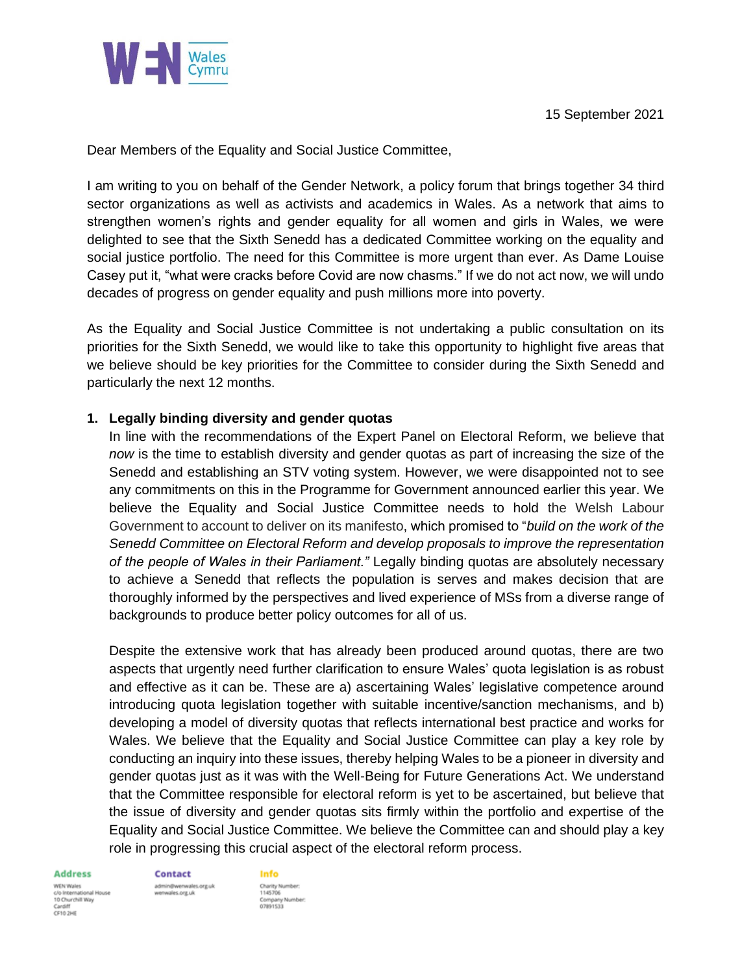

Dear Members of the Equality and Social Justice Committee,

I am writing to you on behalf of the Gender Network, a policy forum that brings together 34 third sector organizations as well as activists and academics in Wales. As a network that aims to strengthen women's rights and gender equality for all women and girls in Wales, we were delighted to see that the Sixth Senedd has a dedicated Committee working on the equality and social justice portfolio. The need for this Committee is more urgent than ever. As Dame Louise Casey put it, "what were cracks before Covid are now chasms." If we do not act now, we will undo decades of progress on gender equality and push millions more into poverty.

As the Equality and Social Justice Committee is not undertaking a public consultation on its priorities for the Sixth Senedd, we would like to take this opportunity to highlight five areas that we believe should be key priorities for the Committee to consider during the Sixth Senedd and particularly the next 12 months.

## **1. Legally binding diversity and gender quotas**

In line with the recommendations of the Expert Panel on Electoral Reform, we believe that *now* is the time to establish diversity and gender quotas as part of increasing the size of the Senedd and establishing an STV voting system. However, we were disappointed not to see any commitments on this in the Programme for Government announced earlier this year. We believe the Equality and Social Justice Committee needs to hold the Welsh Labour Government to account to deliver on its manifesto, which promised to "*build on the work of the Senedd Committee on Electoral Reform and develop proposals to improve the representation of the people of Wales in their Parliament."* Legally binding quotas are absolutely necessary to achieve a Senedd that reflects the population is serves and makes decision that are thoroughly informed by the perspectives and lived experience of MSs from a diverse range of backgrounds to produce better policy outcomes for all of us.

Despite the extensive work that has already been produced around quotas, there are two aspects that urgently need further clarification to ensure Wales' quota legislation is as robust and effective as it can be. These are a) ascertaining Wales' legislative competence around introducing quota legislation together with suitable incentive/sanction mechanisms, and b) developing a model of diversity quotas that reflects international best practice and works for Wales. We believe that the Equality and Social Justice Committee can play a key role by conducting an inquiry into these issues, thereby helping Wales to be a pioneer in diversity and gender quotas just as it was with the Well-Being for Future Generations Act. We understand that the Committee responsible for electoral reform is yet to be ascertained, but believe that the issue of diversity and gender quotas sits firmly within the portfolio and expertise of the Equality and Social Justice Committee. We believe the Committee can and should play a key role in progressing this crucial aspect of the electoral reform process.

#### **Address**

WDV Wales nal House c/o International I<br>10 Churchill Way CF10 2HE

Contact

wenwales.org.uk

ales.org.uk

Info Charity Number:<br>1145706 1145706<br>Company Number:<br>07891533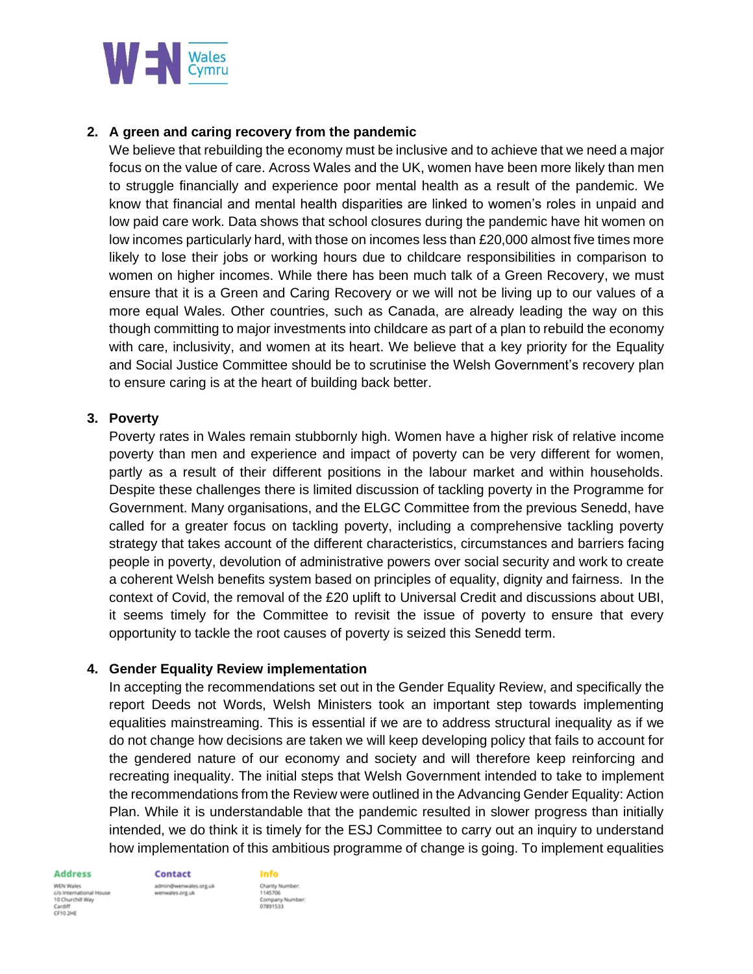

# **2. A green and caring recovery from the pandemic**

We believe that rebuilding the economy must be inclusive and to achieve that we need a major focus on the value of care. Across Wales and the UK, women have been more likely than men to struggle financially and experience poor mental health as a result of the pandemic. We know that financial and mental health disparities are linked to women's roles in unpaid and low paid care work. Data shows that school closures during the pandemic have hit women on low incomes particularly hard, with those on incomes less than £20,000 almost five times more likely to lose their jobs or working hours due to childcare responsibilities in comparison to women on higher incomes. While there has been much talk of a Green Recovery, we must ensure that it is a Green and Caring Recovery or we will not be living up to our values of a more equal Wales. Other countries, such as Canada, are already leading the way on this though committing to major investments into childcare as part of a plan to rebuild the economy with care, inclusivity, and women at its heart. We believe that a key priority for the Equality and Social Justice Committee should be to scrutinise the Welsh Government's recovery plan to ensure caring is at the heart of building back better.

## **3. Poverty**

Poverty rates in Wales remain stubbornly high. Women have a higher risk of relative income poverty than men and experience and impact of poverty can be very different for women, partly as a result of their different positions in the labour market and within households. Despite these challenges there is limited discussion of tackling poverty in the Programme for Government. Many organisations, and the ELGC Committee from the previous Senedd, have called for a greater focus on tackling poverty, including a comprehensive tackling poverty strategy that takes account of the different characteristics, circumstances and barriers facing people in poverty, devolution of administrative powers over social security and work to create a coherent Welsh benefits system based on principles of equality, dignity and fairness. In the context of Covid, the removal of the £20 uplift to Universal Credit and discussions about UBI, it seems timely for the Committee to revisit the issue of poverty to ensure that every opportunity to tackle the root causes of poverty is seized this Senedd term.

## **4. Gender Equality Review implementation**

In accepting the recommendations set out in the Gender Equality Review, and specifically the report Deeds not Words, Welsh Ministers took an important step towards implementing equalities mainstreaming. This is essential if we are to address structural inequality as if we do not change how decisions are taken we will keep developing policy that fails to account for the gendered nature of our economy and society and will therefore keep reinforcing and recreating inequality. The initial steps that Welsh Government intended to take to implement the recommendations from the Review were outlined in the Advancing Gender Equality: Action Plan. While it is understandable that the pandemic resulted in slower progress than initially intended, we do think it is timely for the ESJ Committee to carry out an inquiry to understand how implementation of this ambitious programme of change is going. To implement equalities

#### **Address**

WEN Wales nal House c/o International I<br>10 Churchill Way Cardiff<br>CF10 2HE

**Contact** ales.org.uk wenwales.org.uk

**Info** Charity Number<br>1145706 1145706<br>Company Number:<br>07891533